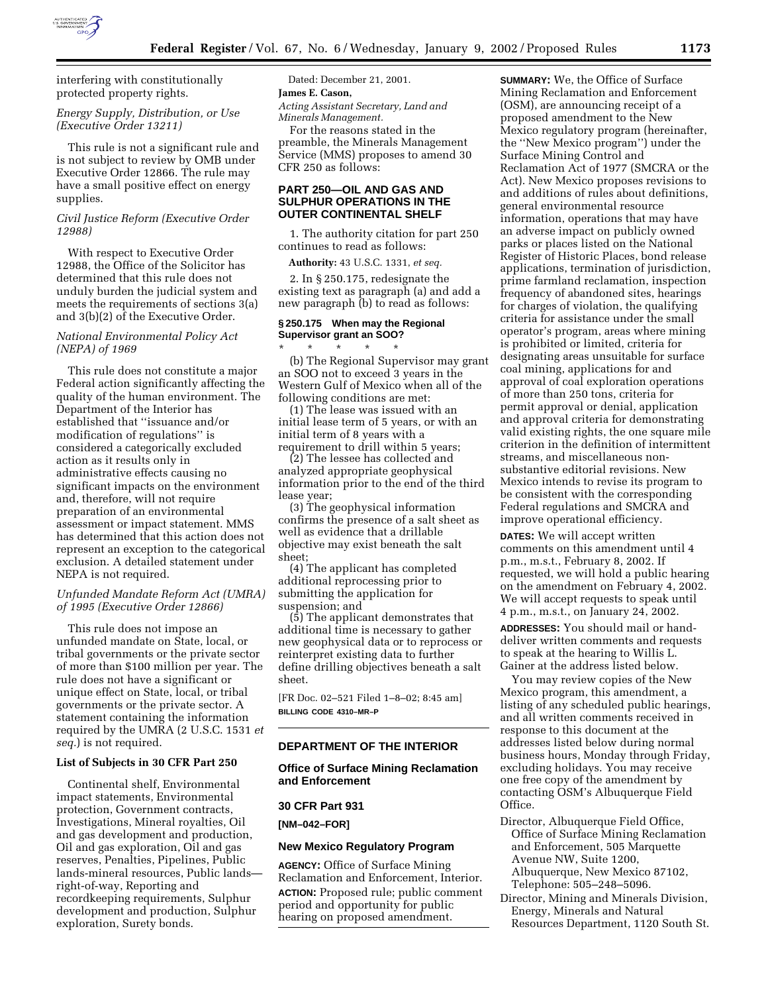

interfering with constitutionally protected property rights.

# *Energy Supply, Distribution, or Use (Executive Order 13211)*

This rule is not a significant rule and is not subject to review by OMB under Executive Order 12866. The rule may have a small positive effect on energy supplies.

## *Civil Justice Reform (Executive Order 12988)*

With respect to Executive Order 12988, the Office of the Solicitor has determined that this rule does not unduly burden the judicial system and meets the requirements of sections 3(a) and 3(b)(2) of the Executive Order.

## *National Environmental Policy Act (NEPA) of 1969*

This rule does not constitute a major Federal action significantly affecting the quality of the human environment. The Department of the Interior has established that ''issuance and/or modification of regulations'' is considered a categorically excluded action as it results only in administrative effects causing no significant impacts on the environment and, therefore, will not require preparation of an environmental assessment or impact statement. MMS has determined that this action does not represent an exception to the categorical exclusion. A detailed statement under NEPA is not required.

## *Unfunded Mandate Reform Act (UMRA) of 1995 (Executive Order 12866)*

This rule does not impose an unfunded mandate on State, local, or tribal governments or the private sector of more than \$100 million per year. The rule does not have a significant or unique effect on State, local, or tribal governments or the private sector. A statement containing the information required by the UMRA (2 U.S.C. 1531 *et seq.*) is not required.

#### **List of Subjects in 30 CFR Part 250**

Continental shelf, Environmental impact statements, Environmental protection, Government contracts, Investigations, Mineral royalties, Oil and gas development and production, Oil and gas exploration, Oil and gas reserves, Penalties, Pipelines, Public lands-mineral resources, Public lands right-of-way, Reporting and recordkeeping requirements, Sulphur development and production, Sulphur exploration, Surety bonds.

Dated: December 21, 2001. **James E. Cason,**

*Acting Assistant Secretary, Land and Minerals Management.*

For the reasons stated in the preamble, the Minerals Management Service (MMS) proposes to amend 30 CFR 250 as follows:

# **PART 250—OIL AND GAS AND SULPHUR OPERATIONS IN THE OUTER CONTINENTAL SHELF**

1. The authority citation for part 250 continues to read as follows:

**Authority:** 43 U.S.C. 1331, *et seq.*

2. In § 250.175, redesignate the existing text as paragraph (a) and add a new paragraph (b) to read as follows:

## **§ 250.175 When may the Regional Supervisor grant an SOO?**

\* \* \* \* \* (b) The Regional Supervisor may grant an SOO not to exceed 3 years in the Western Gulf of Mexico when all of the following conditions are met:

(1) The lease was issued with an initial lease term of 5 years, or with an initial term of 8 years with a requirement to drill within 5 years;

(2) The lessee has collected and analyzed appropriate geophysical information prior to the end of the third lease year;

(3) The geophysical information confirms the presence of a salt sheet as well as evidence that a drillable objective may exist beneath the salt sheet;

(4) The applicant has completed additional reprocessing prior to submitting the application for suspension; and

(5) The applicant demonstrates that additional time is necessary to gather new geophysical data or to reprocess or reinterpret existing data to further define drilling objectives beneath a salt sheet.

[FR Doc. 02–521 Filed 1–8–02; 8:45 am] **BILLING CODE 4310–MR–P**

# **DEPARTMENT OF THE INTERIOR**

## **Office of Surface Mining Reclamation and Enforcement**

#### **30 CFR Part 931**

**[NM–042–FOR]**

### **New Mexico Regulatory Program**

**AGENCY:** Office of Surface Mining Reclamation and Enforcement, Interior. **ACTION:** Proposed rule; public comment period and opportunity for public hearing on proposed amendment.

**SUMMARY:** We, the Office of Surface Mining Reclamation and Enforcement (OSM), are announcing receipt of a proposed amendment to the New Mexico regulatory program (hereinafter, the ''New Mexico program'') under the Surface Mining Control and Reclamation Act of 1977 (SMCRA or the Act). New Mexico proposes revisions to and additions of rules about definitions, general environmental resource information, operations that may have an adverse impact on publicly owned parks or places listed on the National Register of Historic Places, bond release applications, termination of jurisdiction, prime farmland reclamation, inspection frequency of abandoned sites, hearings for charges of violation, the qualifying criteria for assistance under the small operator's program, areas where mining is prohibited or limited, criteria for designating areas unsuitable for surface coal mining, applications for and approval of coal exploration operations of more than 250 tons, criteria for permit approval or denial, application and approval criteria for demonstrating valid existing rights, the one square mile criterion in the definition of intermittent streams, and miscellaneous nonsubstantive editorial revisions. New Mexico intends to revise its program to be consistent with the corresponding Federal regulations and SMCRA and improve operational efficiency.

**DATES:** We will accept written comments on this amendment until 4 p.m., m.s.t., February 8, 2002. If requested, we will hold a public hearing on the amendment on February 4, 2002. We will accept requests to speak until 4 p.m., m.s.t., on January 24, 2002.

**ADDRESSES:** You should mail or handdeliver written comments and requests to speak at the hearing to Willis L. Gainer at the address listed below.

You may review copies of the New Mexico program, this amendment, a listing of any scheduled public hearings, and all written comments received in response to this document at the addresses listed below during normal business hours, Monday through Friday, excluding holidays. You may receive one free copy of the amendment by contacting OSM's Albuquerque Field Office.

Director, Albuquerque Field Office, Office of Surface Mining Reclamation and Enforcement, 505 Marquette Avenue NW, Suite 1200, Albuquerque, New Mexico 87102, Telephone: 505–248–5096.

Director, Mining and Minerals Division, Energy, Minerals and Natural Resources Department, 1120 South St.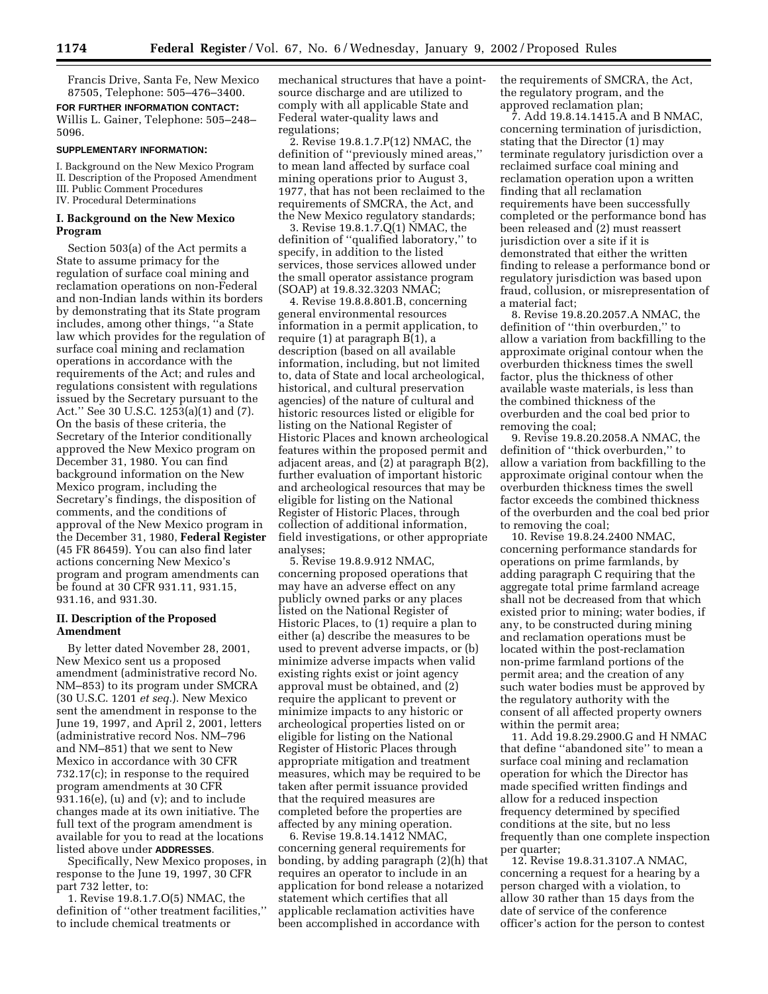Francis Drive, Santa Fe, New Mexico 87505, Telephone: 505–476–3400.

**FOR FURTHER INFORMATION CONTACT:** Willis L. Gainer, Telephone: 505–248– 5096.

## **SUPPLEMENTARY INFORMATION:**

I. Background on the New Mexico Program II. Description of the Proposed Amendment III. Public Comment Procedures IV. Procedural Determinations

## **I. Background on the New Mexico Program**

Section 503(a) of the Act permits a State to assume primacy for the regulation of surface coal mining and reclamation operations on non-Federal and non-Indian lands within its borders by demonstrating that its State program includes, among other things, ''a State law which provides for the regulation of surface coal mining and reclamation operations in accordance with the requirements of the Act; and rules and regulations consistent with regulations issued by the Secretary pursuant to the Act.'' See 30 U.S.C. 1253(a)(1) and (7). On the basis of these criteria, the Secretary of the Interior conditionally approved the New Mexico program on December 31, 1980. You can find background information on the New Mexico program, including the Secretary's findings, the disposition of comments, and the conditions of approval of the New Mexico program in the December 31, 1980, **Federal Register** (45 FR 86459). You can also find later actions concerning New Mexico's program and program amendments can be found at 30 CFR 931.11, 931.15, 931.16, and 931.30.

## **II. Description of the Proposed Amendment**

By letter dated November 28, 2001, New Mexico sent us a proposed amendment (administrative record No. NM–853) to its program under SMCRA (30 U.S.C. 1201 *et seq.*). New Mexico sent the amendment in response to the June 19, 1997, and April 2, 2001, letters (administrative record Nos. NM–796 and NM–851) that we sent to New Mexico in accordance with 30 CFR 732.17(c); in response to the required program amendments at 30 CFR  $931.16(e)$ , (u) and (v); and to include changes made at its own initiative. The full text of the program amendment is available for you to read at the locations listed above under **ADDRESSES**.

Specifically, New Mexico proposes, in response to the June 19, 1997, 30 CFR part 732 letter, to:

1. Revise 19.8.1.7.O(5) NMAC, the definition of ''other treatment facilities,'' to include chemical treatments or

mechanical structures that have a pointsource discharge and are utilized to comply with all applicable State and Federal water-quality laws and regulations;

2. Revise 19.8.1.7.P(12) NMAC, the definition of ''previously mined areas,'' to mean land affected by surface coal mining operations prior to August 3, 1977, that has not been reclaimed to the requirements of SMCRA, the Act, and the New Mexico regulatory standards;

3. Revise 19.8.1.7.Q(1) NMAC, the definition of ''qualified laboratory,'' to specify, in addition to the listed services, those services allowed under the small operator assistance program (SOAP) at 19.8.32.3203 NMAC;

4. Revise 19.8.8.801.B, concerning general environmental resources information in a permit application, to require (1) at paragraph B(1), a description (based on all available information, including, but not limited to, data of State and local archeological, historical, and cultural preservation agencies) of the nature of cultural and historic resources listed or eligible for listing on the National Register of Historic Places and known archeological features within the proposed permit and adjacent areas, and (2) at paragraph B(2), further evaluation of important historic and archeological resources that may be eligible for listing on the National Register of Historic Places, through collection of additional information, field investigations, or other appropriate analyses;

5. Revise 19.8.9.912 NMAC, concerning proposed operations that may have an adverse effect on any publicly owned parks or any places listed on the National Register of Historic Places, to (1) require a plan to either (a) describe the measures to be used to prevent adverse impacts, or (b) minimize adverse impacts when valid existing rights exist or joint agency approval must be obtained, and (2) require the applicant to prevent or minimize impacts to any historic or archeological properties listed on or eligible for listing on the National Register of Historic Places through appropriate mitigation and treatment measures, which may be required to be taken after permit issuance provided that the required measures are completed before the properties are affected by any mining operation.

6. Revise 19.8.14.1412 NMAC, concerning general requirements for bonding, by adding paragraph (2)(h) that requires an operator to include in an application for bond release a notarized statement which certifies that all applicable reclamation activities have been accomplished in accordance with

the requirements of SMCRA, the Act, the regulatory program, and the approved reclamation plan;

7. Add 19.8.14.1415.A and B NMAC, concerning termination of jurisdiction, stating that the Director (1) may terminate regulatory jurisdiction over a reclaimed surface coal mining and reclamation operation upon a written finding that all reclamation requirements have been successfully completed or the performance bond has been released and (2) must reassert jurisdiction over a site if it is demonstrated that either the written finding to release a performance bond or regulatory jurisdiction was based upon fraud, collusion, or misrepresentation of a material fact;

8. Revise 19.8.20.2057.A NMAC, the definition of ''thin overburden,'' to allow a variation from backfilling to the approximate original contour when the overburden thickness times the swell factor, plus the thickness of other available waste materials, is less than the combined thickness of the overburden and the coal bed prior to removing the coal;

9. Revise 19.8.20.2058.A NMAC, the definition of ''thick overburden,'' to allow a variation from backfilling to the approximate original contour when the overburden thickness times the swell factor exceeds the combined thickness of the overburden and the coal bed prior to removing the coal;

10. Revise 19.8.24.2400 NMAC, concerning performance standards for operations on prime farmlands, by adding paragraph C requiring that the aggregate total prime farmland acreage shall not be decreased from that which existed prior to mining; water bodies, if any, to be constructed during mining and reclamation operations must be located within the post-reclamation non-prime farmland portions of the permit area; and the creation of any such water bodies must be approved by the regulatory authority with the consent of all affected property owners within the permit area;

11. Add 19.8.29.2900.G and H NMAC that define ''abandoned site'' to mean a surface coal mining and reclamation operation for which the Director has made specified written findings and allow for a reduced inspection frequency determined by specified conditions at the site, but no less frequently than one complete inspection per quarter;

12. Revise 19.8.31.3107.A NMAC, concerning a request for a hearing by a person charged with a violation, to allow 30 rather than 15 days from the date of service of the conference officer's action for the person to contest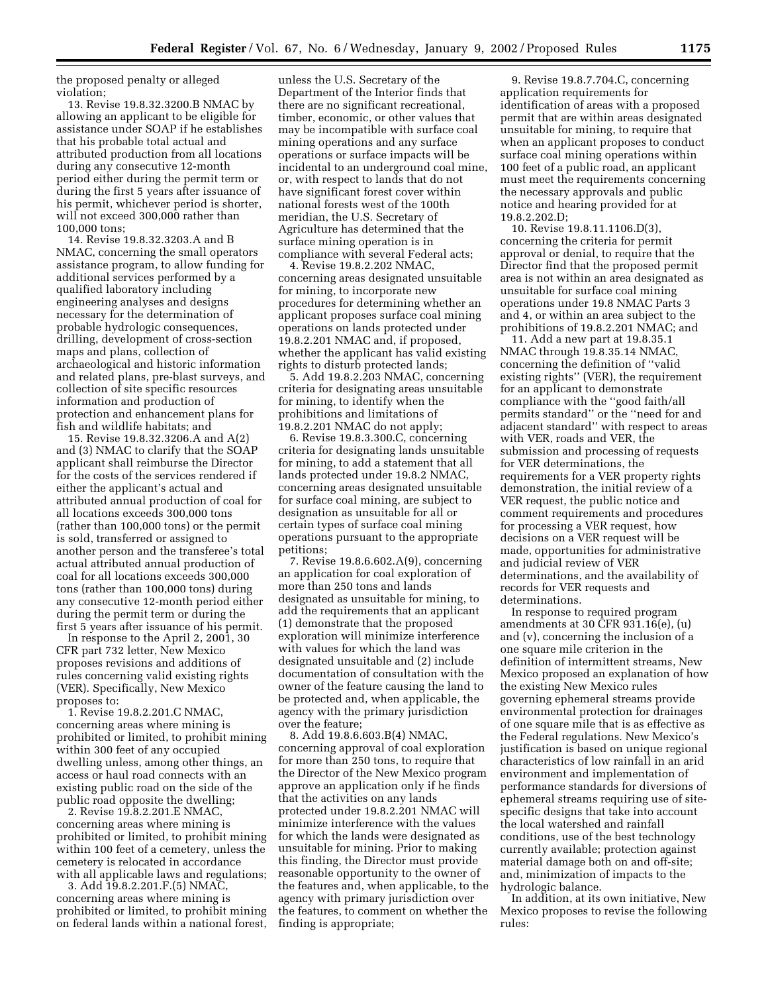the proposed penalty or alleged violation;

13. Revise 19.8.32.3200.B NMAC by allowing an applicant to be eligible for assistance under SOAP if he establishes that his probable total actual and attributed production from all locations during any consecutive 12-month period either during the permit term or during the first 5 years after issuance of his permit, whichever period is shorter, will not exceed 300,000 rather than 100,000 tons;

14. Revise 19.8.32.3203.A and B NMAC, concerning the small operators assistance program, to allow funding for additional services performed by a qualified laboratory including engineering analyses and designs necessary for the determination of probable hydrologic consequences, drilling, development of cross-section maps and plans, collection of archaeological and historic information and related plans, pre-blast surveys, and collection of site specific resources information and production of protection and enhancement plans for fish and wildlife habitats; and

15. Revise 19.8.32.3206.A and A(2) and (3) NMAC to clarify that the SOAP applicant shall reimburse the Director for the costs of the services rendered if either the applicant's actual and attributed annual production of coal for all locations exceeds 300,000 tons (rather than 100,000 tons) or the permit is sold, transferred or assigned to another person and the transferee's total actual attributed annual production of coal for all locations exceeds 300,000 tons (rather than 100,000 tons) during any consecutive 12-month period either during the permit term or during the first 5 years after issuance of his permit.

In response to the April 2, 2001, 30 CFR part 732 letter, New Mexico proposes revisions and additions of rules concerning valid existing rights (VER). Specifically, New Mexico proposes to:

1. Revise 19.8.2.201.C NMAC, concerning areas where mining is prohibited or limited, to prohibit mining within 300 feet of any occupied dwelling unless, among other things, an access or haul road connects with an existing public road on the side of the public road opposite the dwelling;

2. Revise 19.8.2.201.E NMAC, concerning areas where mining is prohibited or limited, to prohibit mining within 100 feet of a cemetery, unless the cemetery is relocated in accordance with all applicable laws and regulations;

3. Add 19.8.2.201.F.(5) NMAC, concerning areas where mining is prohibited or limited, to prohibit mining on federal lands within a national forest,

unless the U.S. Secretary of the Department of the Interior finds that there are no significant recreational, timber, economic, or other values that may be incompatible with surface coal mining operations and any surface operations or surface impacts will be incidental to an underground coal mine, or, with respect to lands that do not have significant forest cover within national forests west of the 100th meridian, the U.S. Secretary of Agriculture has determined that the surface mining operation is in compliance with several Federal acts;

4. Revise 19.8.2.202 NMAC, concerning areas designated unsuitable for mining, to incorporate new procedures for determining whether an applicant proposes surface coal mining operations on lands protected under 19.8.2.201 NMAC and, if proposed, whether the applicant has valid existing rights to disturb protected lands;

5. Add 19.8.2.203 NMAC, concerning criteria for designating areas unsuitable for mining, to identify when the prohibitions and limitations of 19.8.2.201 NMAC do not apply;

6. Revise 19.8.3.300.C, concerning criteria for designating lands unsuitable for mining, to add a statement that all lands protected under 19.8.2 NMAC, concerning areas designated unsuitable for surface coal mining, are subject to designation as unsuitable for all or certain types of surface coal mining operations pursuant to the appropriate petitions;

7. Revise 19.8.6.602.A(9), concerning an application for coal exploration of more than 250 tons and lands designated as unsuitable for mining, to add the requirements that an applicant (1) demonstrate that the proposed exploration will minimize interference with values for which the land was designated unsuitable and (2) include documentation of consultation with the owner of the feature causing the land to be protected and, when applicable, the agency with the primary jurisdiction over the feature;

8. Add 19.8.6.603.B(4) NMAC, concerning approval of coal exploration for more than 250 tons, to require that the Director of the New Mexico program approve an application only if he finds that the activities on any lands protected under 19.8.2.201 NMAC will minimize interference with the values for which the lands were designated as unsuitable for mining. Prior to making this finding, the Director must provide reasonable opportunity to the owner of the features and, when applicable, to the agency with primary jurisdiction over the features, to comment on whether the finding is appropriate;

9. Revise 19.8.7.704.C, concerning application requirements for identification of areas with a proposed permit that are within areas designated unsuitable for mining, to require that when an applicant proposes to conduct surface coal mining operations within 100 feet of a public road, an applicant must meet the requirements concerning the necessary approvals and public notice and hearing provided for at 19.8.2.202.D;

10. Revise 19.8.11.1106.D(3), concerning the criteria for permit approval or denial, to require that the Director find that the proposed permit area is not within an area designated as unsuitable for surface coal mining operations under 19.8 NMAC Parts 3 and 4, or within an area subject to the prohibitions of 19.8.2.201 NMAC; and

11. Add a new part at 19.8.35.1 NMAC through 19.8.35.14 NMAC, concerning the definition of ''valid existing rights'' (VER), the requirement for an applicant to demonstrate compliance with the ''good faith/all permits standard'' or the ''need for and adjacent standard'' with respect to areas with VER, roads and VER, the submission and processing of requests for VER determinations, the requirements for a VER property rights demonstration, the initial review of a VER request, the public notice and comment requirements and procedures for processing a VER request, how decisions on a VER request will be made, opportunities for administrative and judicial review of VER determinations, and the availability of records for VER requests and determinations.

In response to required program amendments at 30 CFR 931.16(e), (u) and (v), concerning the inclusion of a one square mile criterion in the definition of intermittent streams, New Mexico proposed an explanation of how the existing New Mexico rules governing ephemeral streams provide environmental protection for drainages of one square mile that is as effective as the Federal regulations. New Mexico's justification is based on unique regional characteristics of low rainfall in an arid environment and implementation of performance standards for diversions of ephemeral streams requiring use of sitespecific designs that take into account the local watershed and rainfall conditions, use of the best technology currently available; protection against material damage both on and off-site; and, minimization of impacts to the hydrologic balance.

In addition, at its own initiative, New Mexico proposes to revise the following rules: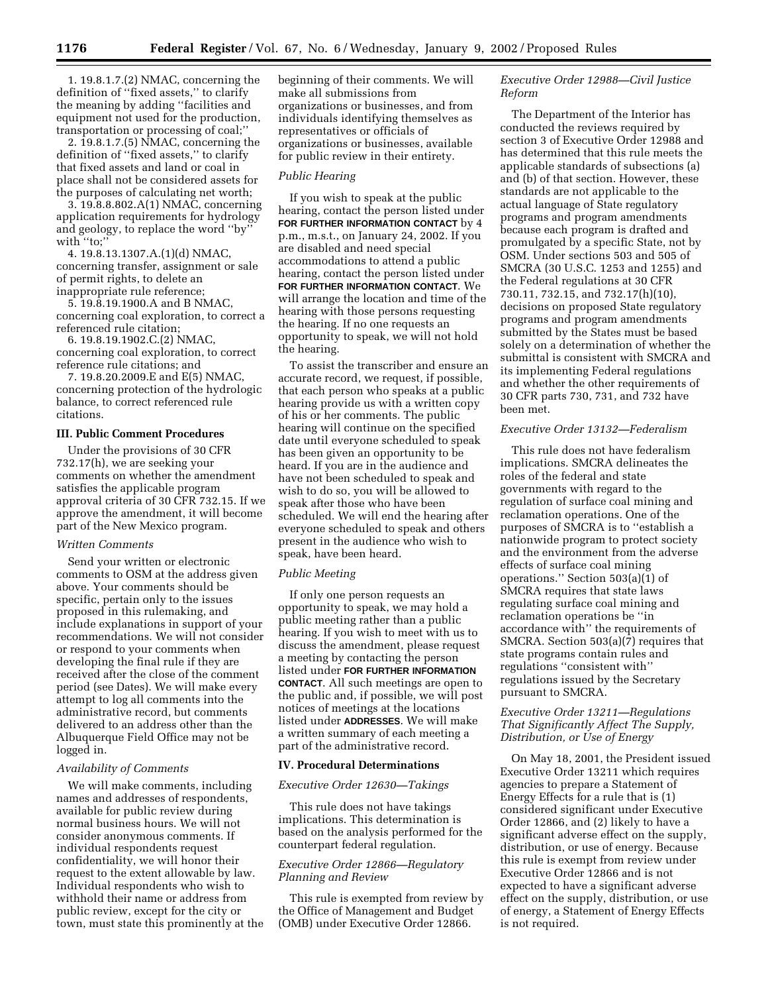1. 19.8.1.7.(2) NMAC, concerning the definition of ''fixed assets,'' to clarify the meaning by adding ''facilities and equipment not used for the production, transportation or processing of coal;''

2. 19.8.1.7.(5) NMAC, concerning the definition of ''fixed assets,'' to clarify that fixed assets and land or coal in place shall not be considered assets for the purposes of calculating net worth;

3. 19.8.8.802.A(1) NMAC, concerning application requirements for hydrology and geology, to replace the word ''by'' with "to;"

4. 19.8.13.1307.A.(1)(d) NMAC, concerning transfer, assignment or sale of permit rights, to delete an inappropriate rule reference;

5. 19.8.19.1900.A and B NMAC, concerning coal exploration, to correct a referenced rule citation;

6. 19.8.19.1902.C.(2) NMAC, concerning coal exploration, to correct reference rule citations; and

7. 19.8.20.2009.E and E(5) NMAC, concerning protection of the hydrologic balance, to correct referenced rule citations.

## **III. Public Comment Procedures**

Under the provisions of 30 CFR 732.17(h), we are seeking your comments on whether the amendment satisfies the applicable program approval criteria of 30 CFR 732.15. If we approve the amendment, it will become part of the New Mexico program.

#### *Written Comments*

Send your written or electronic comments to OSM at the address given above. Your comments should be specific, pertain only to the issues proposed in this rulemaking, and include explanations in support of your recommendations. We will not consider or respond to your comments when developing the final rule if they are received after the close of the comment period (see Dates). We will make every attempt to log all comments into the administrative record, but comments delivered to an address other than the Albuquerque Field Office may not be logged in.

#### *Availability of Comments*

We will make comments, including names and addresses of respondents, available for public review during normal business hours. We will not consider anonymous comments. If individual respondents request confidentiality, we will honor their request to the extent allowable by law. Individual respondents who wish to withhold their name or address from public review, except for the city or town, must state this prominently at the beginning of their comments. We will make all submissions from organizations or businesses, and from individuals identifying themselves as representatives or officials of organizations or businesses, available for public review in their entirety.

#### *Public Hearing*

If you wish to speak at the public hearing, contact the person listed under **FOR FURTHER INFORMATION CONTACT** by 4 p.m., m.s.t., on January 24, 2002. If you are disabled and need special accommodations to attend a public hearing, contact the person listed under **FOR FURTHER INFORMATION CONTACT**. We will arrange the location and time of the hearing with those persons requesting the hearing. If no one requests an opportunity to speak, we will not hold the hearing.

To assist the transcriber and ensure an accurate record, we request, if possible, that each person who speaks at a public hearing provide us with a written copy of his or her comments. The public hearing will continue on the specified date until everyone scheduled to speak has been given an opportunity to be heard. If you are in the audience and have not been scheduled to speak and wish to do so, you will be allowed to speak after those who have been scheduled. We will end the hearing after everyone scheduled to speak and others present in the audience who wish to speak, have been heard.

#### *Public Meeting*

If only one person requests an opportunity to speak, we may hold a public meeting rather than a public hearing. If you wish to meet with us to discuss the amendment, please request a meeting by contacting the person listed under **FOR FURTHER INFORMATION CONTACT**. All such meetings are open to the public and, if possible, we will post notices of meetings at the locations listed under **ADDRESSES**. We will make a written summary of each meeting a part of the administrative record.

### **IV. Procedural Determinations**

### *Executive Order 12630—Takings*

This rule does not have takings implications. This determination is based on the analysis performed for the counterpart federal regulation.

# *Executive Order 12866—Regulatory Planning and Review*

This rule is exempted from review by the Office of Management and Budget (OMB) under Executive Order 12866.

# *Executive Order 12988—Civil Justice Reform*

The Department of the Interior has conducted the reviews required by section 3 of Executive Order 12988 and has determined that this rule meets the applicable standards of subsections (a) and (b) of that section. However, these standards are not applicable to the actual language of State regulatory programs and program amendments because each program is drafted and promulgated by a specific State, not by OSM. Under sections 503 and 505 of SMCRA (30 U.S.C. 1253 and 1255) and the Federal regulations at 30 CFR 730.11, 732.15, and 732.17(h)(10), decisions on proposed State regulatory programs and program amendments submitted by the States must be based solely on a determination of whether the submittal is consistent with SMCRA and its implementing Federal regulations and whether the other requirements of 30 CFR parts 730, 731, and 732 have been met.

## *Executive Order 13132—Federalism*

This rule does not have federalism implications. SMCRA delineates the roles of the federal and state governments with regard to the regulation of surface coal mining and reclamation operations. One of the purposes of SMCRA is to ''establish a nationwide program to protect society and the environment from the adverse effects of surface coal mining operations.'' Section 503(a)(1) of SMCRA requires that state laws regulating surface coal mining and reclamation operations be ''in accordance with'' the requirements of SMCRA. Section 503(a)(7) requires that state programs contain rules and regulations ''consistent with'' regulations issued by the Secretary pursuant to SMCRA.

# *Executive Order 13211—Regulations That Significantly Affect The Supply, Distribution, or Use of Energy*

On May 18, 2001, the President issued Executive Order 13211 which requires agencies to prepare a Statement of Energy Effects for a rule that is (1) considered significant under Executive Order 12866, and (2) likely to have a significant adverse effect on the supply, distribution, or use of energy. Because this rule is exempt from review under Executive Order 12866 and is not expected to have a significant adverse effect on the supply, distribution, or use of energy, a Statement of Energy Effects is not required.